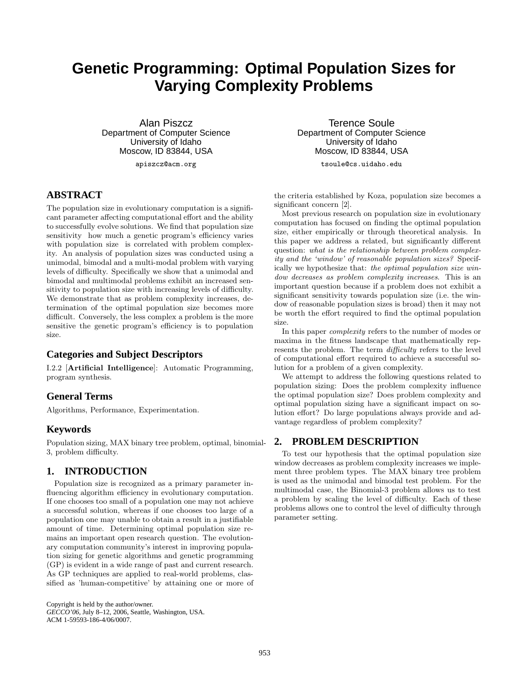# **Genetic Programming: Optimal Population Sizes for Varying Complexity Problems**

Alan Piszcz Department of Computer Science University of Idaho Moscow, ID 83844, USA

apiszcz@acm.org

# **ABSTRACT**

The population size in evolutionary computation is a significant parameter affecting computational effort and the ability to successfully evolve solutions. We find that population size sensitivity how much a genetic program's efficiency varies with population size is correlated with problem complexity. An analysis of population sizes was conducted using a unimodal, bimodal and a multi-modal problem with varying levels of difficulty. Specifically we show that a unimodal and bimodal and multimodal problems exhibit an increased sensitivity to population size with increasing levels of difficulty. We demonstrate that as problem complexity increases, determination of the optimal population size becomes more difficult. Conversely, the less complex a problem is the more sensitive the genetic program's efficiency is to population size.

### **Categories and Subject Descriptors**

I.2.2 [**Artificial Intelligence**]: Automatic Programming, program synthesis.

### **General Terms**

Algorithms, Performance, Experimentation.

### **Keywords**

Population sizing, MAX binary tree problem, optimal, binomial-3, problem difficulty.

### **1. INTRODUCTION**

Population size is recognized as a primary parameter influencing algorithm efficiency in evolutionary computation. If one chooses too small of a population one may not achieve a successful solution, whereas if one chooses too large of a population one may unable to obtain a result in a justifiable amount of time. Determining optimal population size remains an important open research question. The evolutionary computation community's interest in improving population sizing for genetic algorithms and genetic programming (GP) is evident in a wide range of past and current research. As GP techniques are applied to real-world problems, classified as 'human-competitive' by attaining one or more of

Copyright is held by the author/owner. *GECCO'06,* July 8–12, 2006, Seattle, Washington, USA. ACM 1-59593-186-4/06/0007.

Terence Soule Department of Computer Science University of Idaho Moscow, ID 83844, USA

tsoule@cs.uidaho.edu

the criteria established by Koza, population size becomes a significant concern [2].

Most previous research on population size in evolutionary computation has focused on finding the optimal population size, either empirically or through theoretical analysis. In this paper we address a related, but significantly different question: what is the relationship between problem complexity and the 'window' of reasonable population sizes? Specifically we hypothesize that: the optimal population size window decreases as problem complexity increases. This is an important question because if a problem does not exhibit a significant sensitivity towards population size (i.e. the window of reasonable population sizes is broad) then it may not be worth the effort required to find the optimal population size.

In this paper complexity refers to the number of modes or maxima in the fitness landscape that mathematically represents the problem. The term difficulty refers to the level of computational effort required to achieve a successful solution for a problem of a given complexity.

We attempt to address the following questions related to population sizing: Does the problem complexity influence the optimal population size? Does problem complexity and optimal population sizing have a significant impact on solution effort? Do large populations always provide and advantage regardless of problem complexity?

# **2. PROBLEM DESCRIPTION**

To test our hypothesis that the optimal population size window decreases as problem complexity increases we implement three problem types. The MAX binary tree problem is used as the unimodal and bimodal test problem. For the multimodal case, the Binomial-3 problem allows us to test a problem by scaling the level of difficulty. Each of these problems allows one to control the level of difficulty through parameter setting.